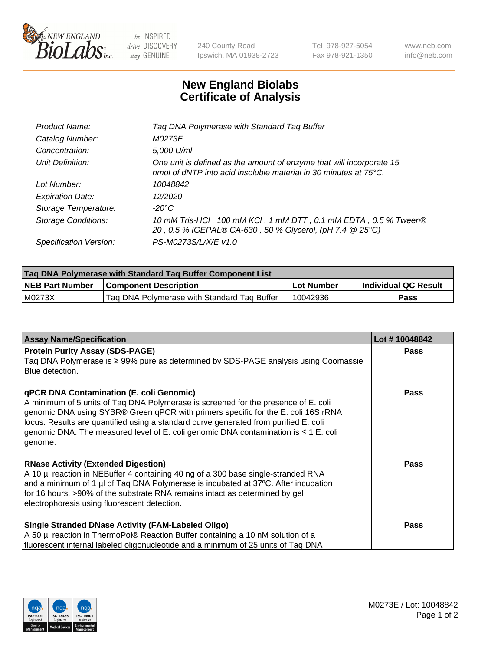

 $be$  INSPIRED drive DISCOVERY stay GENUINE

240 County Road Ipswich, MA 01938-2723 Tel 978-927-5054 Fax 978-921-1350 www.neb.com info@neb.com

## **New England Biolabs Certificate of Analysis**

| Tag DNA Polymerase with Standard Tag Buffer                                                                                              |
|------------------------------------------------------------------------------------------------------------------------------------------|
| M0273E                                                                                                                                   |
| 5,000 U/ml                                                                                                                               |
| One unit is defined as the amount of enzyme that will incorporate 15<br>nmol of dNTP into acid insoluble material in 30 minutes at 75°C. |
| 10048842                                                                                                                                 |
| 12/2020                                                                                                                                  |
| $-20^{\circ}$ C                                                                                                                          |
| 10 mM Tris-HCl, 100 mM KCl, 1 mM DTT, 0.1 mM EDTA, 0.5 % Tween®<br>20, 0.5 % IGEPAL® CA-630, 50 % Glycerol, (pH 7.4 @ 25°C)              |
| PS-M0273S/L/X/E v1.0                                                                                                                     |
|                                                                                                                                          |

| Tag DNA Polymerase with Standard Tag Buffer Component List |                                             |            |                      |  |  |
|------------------------------------------------------------|---------------------------------------------|------------|----------------------|--|--|
| <b>NEB Part Number</b>                                     | <b>Component Description</b>                | Lot Number | Individual QC Result |  |  |
| M0273X                                                     | Tag DNA Polymerase with Standard Tag Buffer | 10042936   | Pass                 |  |  |

| <b>Assay Name/Specification</b>                                                                                                                                                                                                                                                                                                                                                                                           | Lot #10048842 |
|---------------------------------------------------------------------------------------------------------------------------------------------------------------------------------------------------------------------------------------------------------------------------------------------------------------------------------------------------------------------------------------------------------------------------|---------------|
| <b>Protein Purity Assay (SDS-PAGE)</b><br>Taq DNA Polymerase is ≥ 99% pure as determined by SDS-PAGE analysis using Coomassie<br>Blue detection.                                                                                                                                                                                                                                                                          | <b>Pass</b>   |
| <b>qPCR DNA Contamination (E. coli Genomic)</b><br>A minimum of 5 units of Taq DNA Polymerase is screened for the presence of E. coli<br>genomic DNA using SYBR® Green qPCR with primers specific for the E. coli 16S rRNA<br>locus. Results are quantified using a standard curve generated from purified E. coli<br>genomic DNA. The measured level of E. coli genomic DNA contamination is $\leq 1$ E. coli<br>genome. | Pass          |
| <b>RNase Activity (Extended Digestion)</b><br>A 10 µl reaction in NEBuffer 4 containing 40 ng of a 300 base single-stranded RNA<br>and a minimum of 1 µl of Taq DNA Polymerase is incubated at 37°C. After incubation<br>for 16 hours, >90% of the substrate RNA remains intact as determined by gel<br>electrophoresis using fluorescent detection.                                                                      | <b>Pass</b>   |
| Single Stranded DNase Activity (FAM-Labeled Oligo)<br>A 50 µl reaction in ThermoPol® Reaction Buffer containing a 10 nM solution of a<br>fluorescent internal labeled oligonucleotide and a minimum of 25 units of Taq DNA                                                                                                                                                                                                | Pass          |